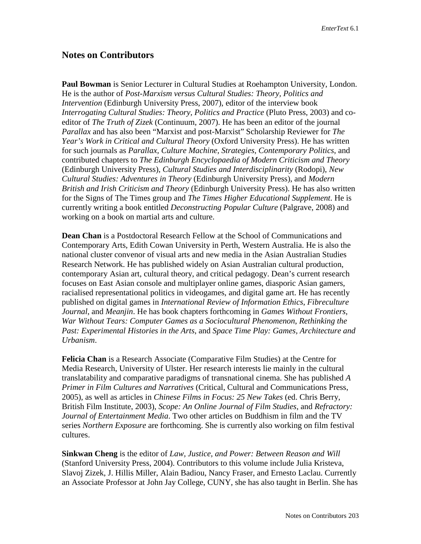## **Notes on Contributors**

**Paul Bowman** is Senior Lecturer in Cultural Studies at Roehampton University, London. He is the author of *Post-Marxism versus Cultural Studies: Theory, Politics and Intervention* (Edinburgh University Press, 2007), editor of the interview book *Interrogating Cultural Studies: Theory, Politics and Practice* (Pluto Press, 2003) and coeditor of *The Truth of Zizek* (Continuum, 2007). He has been an editor of the journal *Parallax* and has also been "Marxist and post-Marxist" Scholarship Reviewer for *The Year's Work in Critical and Cultural Theory* (Oxford University Press). He has written for such journals as *Parallax, Culture Machine, Strategies, Contemporary Politics*, and contributed chapters to *The Edinburgh Encyclopaedia of Modern Criticism and Theory* (Edinburgh University Press), *Cultural Studies and Interdisciplinarity* (Rodopi), *New Cultural Studies: Adventures in Theory* (Edinburgh University Press), and *Modern British and Irish Criticism and Theory* (Edinburgh University Press). He has also written for the Signs of The Times group and *The Times Higher Educational Supplement*. He is currently writing a book entitled *Deconstructing Popular Culture* (Palgrave, 2008) and working on a book on martial arts and culture.

**Dean Chan** is a Postdoctoral Research Fellow at the School of Communications and Contemporary Arts, Edith Cowan University in Perth, Western Australia. He is also the national cluster convenor of visual arts and new media in the Asian Australian Studies Research Network. He has published widely on Asian Australian cultural production, contemporary Asian art, cultural theory, and critical pedagogy. Dean's current research focuses on East Asian console and multiplayer online games, diasporic Asian gamers, racialised representational politics in videogames, and digital game art. He has recently published on digital games in *International Review of Information Ethics*, *Fibreculture Journal*, and *Meanjin*. He has book chapters forthcoming in *Games Without Frontiers, War Without Tears: Computer Games as a Sociocultural Phenomenon*, *Rethinking the Past: Experimental Histories in the Arts*, and *Space Time Play: Games, Architecture and Urbanism*.

**Felicia Chan** is a Research Associate (Comparative Film Studies) at the Centre for Media Research, University of Ulster. Her research interests lie mainly in the cultural translatability and comparative paradigms of transnational cinema. She has published *A Primer in Film Cultures and Narratives* (Critical, Cultural and Communications Press, 2005), as well as articles in *Chinese Films in Focus: 25 New Takes* (ed. Chris Berry, British Film Institute, 2003), *Scope: An Online Journal of Film Studies*, and *Refractory: Journal of Entertainment Media*. Two other articles on Buddhism in film and the TV series *Northern Exposure* are forthcoming. She is currently also working on film festival cultures.

**Sinkwan Cheng** is the editor of *Law, Justice, and Power: Between Reason and Will*  (Stanford University Press, 2004). Contributors to this volume include Julia Kristeva, Slavoj Zizek, J. Hillis Miller, Alain Badiou, Nancy Fraser, and Ernesto Laclau. Currently an Associate Professor at John Jay College, CUNY, she has also taught in Berlin. She has